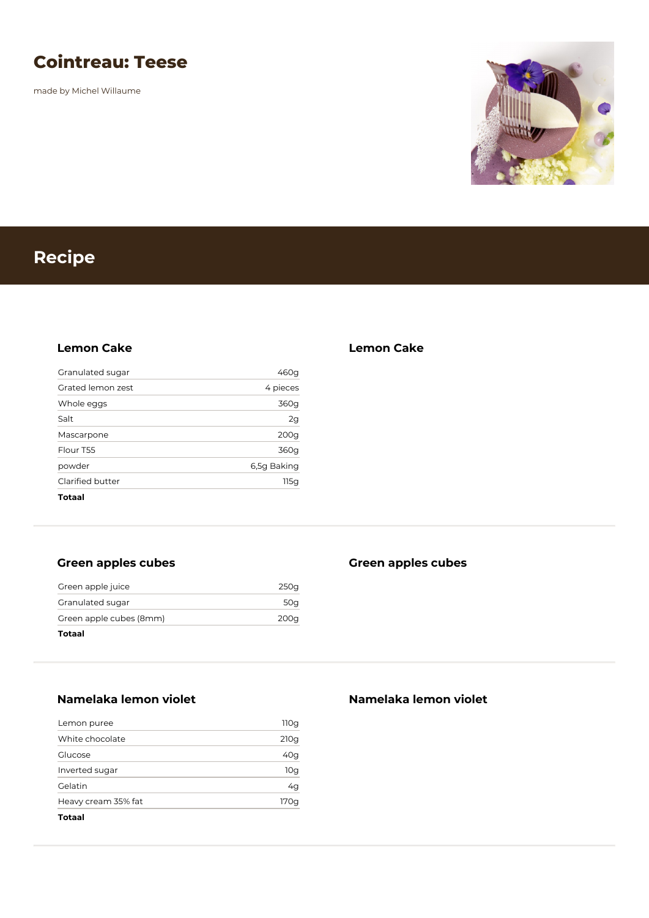## **Cointreau: Teese**

made by Michel Willaume



# **Recipe**

#### **Lemon Cake**

| Totaal            |                  |
|-------------------|------------------|
| Clarified butter  | 115g             |
| powder            | 6,5g Baking      |
| Flour T55         | 360g             |
| Mascarpone        | 200 <sub>g</sub> |
| Salt              | 2g               |
| Whole eggs        | 360g             |
| Grated lemon zest | 4 pieces         |
| Granulated sugar  | 460g             |

## **Green apples cubes**

| Totaal                  |      |
|-------------------------|------|
| Green apple cubes (8mm) | 200a |
| Granulated sugar        | 50a  |
| Green apple juice       | 250a |

## **Green apples cubes**

**Lemon Cake**

**Namelaka lemon violet**

| Totaal              |      |
|---------------------|------|
| Heavy cream 35% fat | 170a |
| Gelatin             | 4g   |
| Inverted sugar      | 10g  |
| Glucose             | 40q  |
| White chocolate     | 210g |
| Lemon puree         | 110g |

## **Namelaka lemon violet**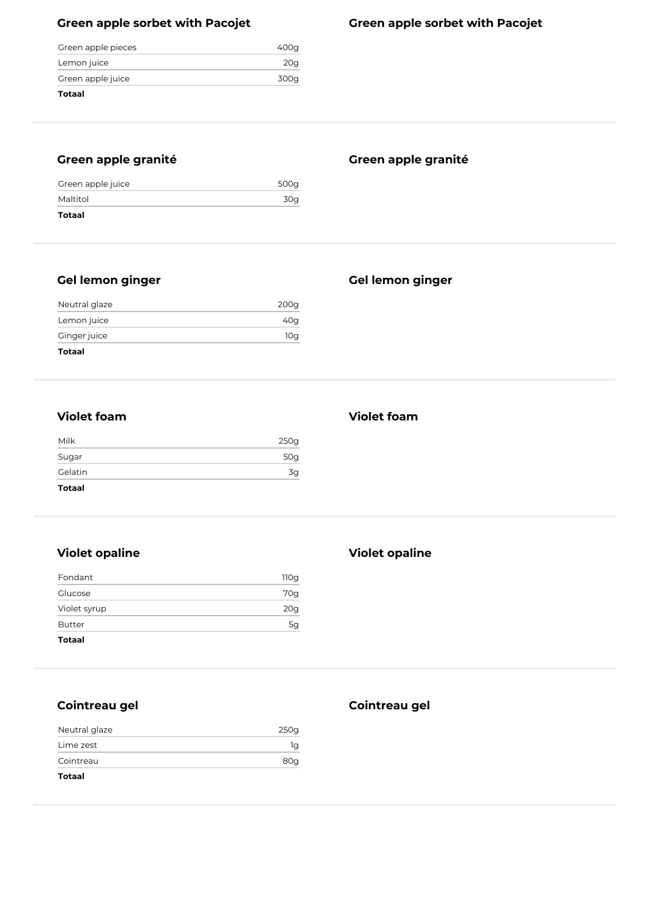## **Green apple sorbet with Pacojet**

| Totaal             |      |
|--------------------|------|
| Green apple juice  | 300a |
| Lemon juice        | 20a  |
| Green apple pieces | 400a |

## **Green apple granité**

## **Green apple granité**

**Gel lemon ginger**

| Green apple juice | 500g |
|-------------------|------|
| Maltitol          | 30g  |
| Totaal            |      |

## **Gel lemon ginger**

| 10g  |
|------|
| 40g  |
| 200g |
|      |

#### **Violet foam**

| <b>Violet foam</b> |  |
|--------------------|--|
|--------------------|--|

| Milk          | 250g |
|---------------|------|
| Sugar         | 50g  |
| Gelatin       | 3g   |
| <b>Totaal</b> |      |

## **Violet opaline**

| 5g   |
|------|
| 20g  |
| 70g  |
| 110g |
|      |

#### **Violet opaline**

## **Cointreau gel**

| Neutral glaze | 250g |
|---------------|------|
| Lime zest     | 1q   |
| Cointreau     | 80g  |
| Totaal        |      |

#### **Cointreau gel**